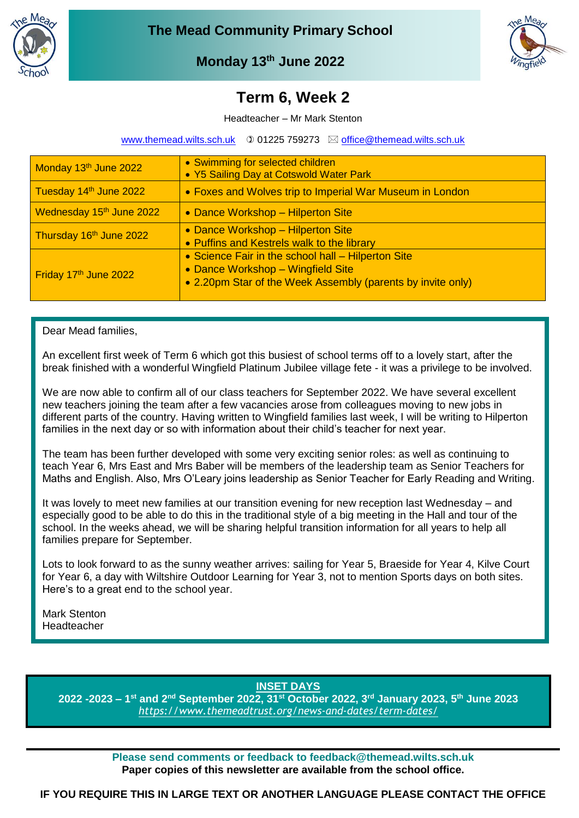



**Monday 13th June 2022**

## **March 2022 Term 6, Week 2**

Headteacher – Mr Mark Stenton

[www.themead.wilts.sch.uk](http://www.themead.wilts.sch.uk/)  $\circledcirc$  01225 759273  $\boxtimes$  [office@themead.wilts.sch.uk](mailto:office@themead.wilts.sch.uk)

| Monday 13 <sup>th</sup> June 2022    | • Swimming for selected children<br>• Y5 Sailing Day at Cotswold Water Park                                                                            |
|--------------------------------------|--------------------------------------------------------------------------------------------------------------------------------------------------------|
| Tuesday 14th June 2022               | • Foxes and Wolves trip to Imperial War Museum in London                                                                                               |
| Wednesday 15 <sup>th</sup> June 2022 | • Dance Workshop - Hilperton Site                                                                                                                      |
| Thursday 16th June 2022              | • Dance Workshop - Hilperton Site<br>• Puffins and Kestrels walk to the library                                                                        |
| Friday 17th June 2022                | • Science Fair in the school hall - Hilperton Site<br>• Dance Workshop - Wingfield Site<br>• 2.20pm Star of the Week Assembly (parents by invite only) |

#### Dear Mead families,

An excellent first week of Term 6 which got this busiest of school terms off to a lovely start, after the break finished with a wonderful Wingfield Platinum Jubilee village fete - it was a privilege to be involved.

We are now able to confirm all of our class teachers for September 2022. We have several excellent new teachers joining the team after a few vacancies arose from colleagues moving to new jobs in different parts of the country. Having written to Wingfield families last week, I will be writing to Hilperton families in the next day or so with information about their child's teacher for next year.

The team has been further developed with some very exciting senior roles: as well as continuing to teach Year 6, Mrs East and Mrs Baber will be members of the leadership team as Senior Teachers for Maths and English. Also, Mrs O'Leary joins leadership as Senior Teacher for Early Reading and Writing.

It was lovely to meet new families at our transition evening for new reception last Wednesday – and especially good to be able to do this in the traditional style of a big meeting in the Hall and tour of the school. In the weeks ahead, we will be sharing helpful transition information for all years to help all families prepare for September.

Lots to look forward to as the sunny weather arrives: sailing for Year 5, Braeside for Year 4, Kilve Court for Year 6, a day with Wiltshire Outdoor Learning for Year 3, not to mention Sports days on both sites. Here's to a great end to the school year.

Mark Stenton Headteacher

**INSET DAYS**

**2022 -2023 – 1 st and 2nd September 2022, 31st October 2022, 3rd January 2023, 5th June 2023** *<https://www.themeadtrust.org/news-and-dates/term-dates/>*

> **Please send comments or feedback to feedback@themead.wilts.sch.uk Paper copies of this newsletter are available from the school office.**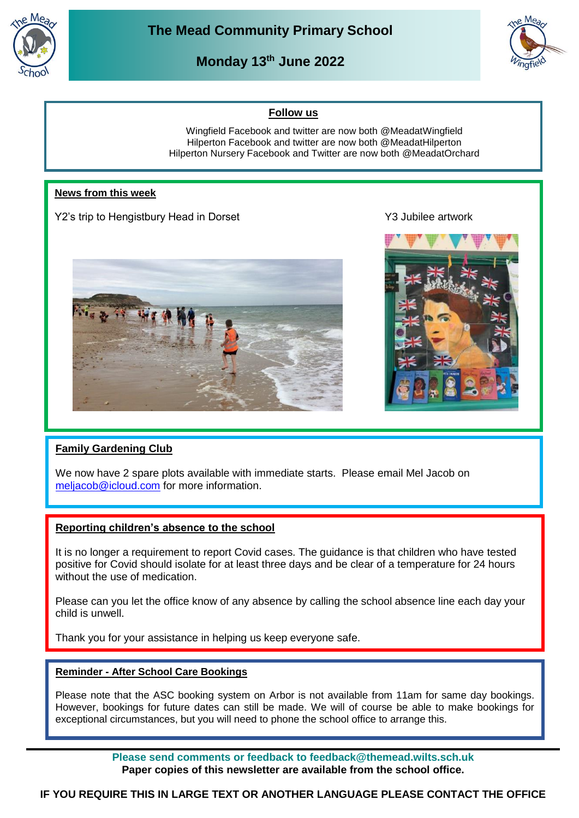

**Monday 13th June 2022**



#### **Follow us**

Wingfield Facebook and twitter are now both @MeadatWingfield Hilperton Facebook and twitter are now both @MeadatHilperton Hilperton Nursery Facebook and Twitter are now both @MeadatOrchard

#### **News from this week**

Y2's trip to Hengistbury Head in Dorset Y3 Jubilee artwork





#### **Family Gardening Club**

We now have 2 spare plots available with immediate starts. Please email Mel Jacob on [meljacob@icloud.com](mailto:meljacob@icloud.com) for more information.

#### **Reporting children's absence to the school**

It is no longer a requirement to report Covid cases. The guidance is that children who have tested positive for Covid should isolate for at least three days and be clear of a temperature for 24 hours without the use of medication.

Please can you let the office know of any absence by calling the school absence line each day your child is unwell.

Thank you for your assistance in helping us keep everyone safe.

#### **Reminder - After School Care Bookings**

Please note that the ASC booking system on Arbor is not available from 11am for same day bookings. However, bookings for future dates can still be made. We will of course be able to make bookings for exceptional circumstances, but you will need to phone the school office to arrange this.

> **Please send comments or feedback to feedback@themead.wilts.sch.uk Paper copies of this newsletter are available from the school office.**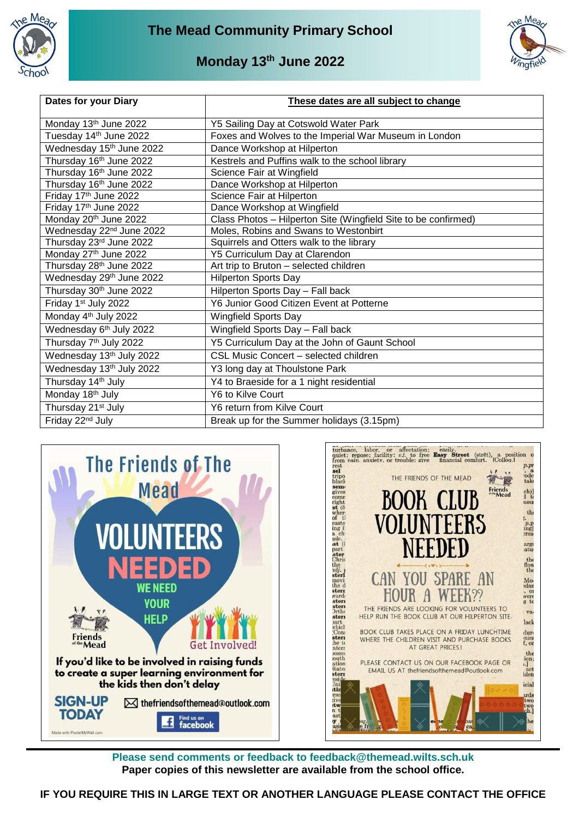



### **Monday 13th June 2022**

| <b>Dates for your Diary</b>          | These dates are all subject to change                          |
|--------------------------------------|----------------------------------------------------------------|
| Monday 13th June 2022                | Y5 Sailing Day at Cotswold Water Park                          |
| Tuesday 14th June 2022               | Foxes and Wolves to the Imperial War Museum in London          |
| Wednesday 15th June 2022             | Dance Workshop at Hilperton                                    |
| Thursday 16th June 2022              | Kestrels and Puffins walk to the school library                |
| Thursday 16th June 2022              | Science Fair at Wingfield                                      |
| Thursday 16 <sup>th</sup> June 2022  | Dance Workshop at Hilperton                                    |
| Friday 17th June 2022                | Science Fair at Hilperton                                      |
| Friday 17th June 2022                | Dance Workshop at Wingfield                                    |
| Monday 20th June 2022                | Class Photos - Hilperton Site (Wingfield Site to be confirmed) |
| Wednesday 22 <sup>nd</sup> June 2022 | Moles, Robins and Swans to Westonbirt                          |
| Thursday 23rd June 2022              | Squirrels and Otters walk to the library                       |
| Monday 27th June 2022                | Y5 Curriculum Day at Clarendon                                 |
| Thursday 28 <sup>th</sup> June 2022  | Art trip to Bruton - selected children                         |
| Wednesday 29th June 2022             | <b>Hilperton Sports Day</b>                                    |
| Thursday 30th June 2022              | Hilperton Sports Day - Fall back                               |
| Friday 1 <sup>st</sup> July 2022     | Y6 Junior Good Citizen Event at Potterne                       |
| Monday 4 <sup>th</sup> July 2022     | <b>Wingfield Sports Day</b>                                    |
| Wednesday 6th July 2022              | Wingfield Sports Day - Fall back                               |
| Thursday 7 <sup>th</sup> July 2022   | Y5 Curriculum Day at the John of Gaunt School                  |
| Wednesday 13th July 2022             | CSL Music Concert - selected children                          |
| Wednesday 13th July 2022             | Y3 long day at Thoulstone Park                                 |
| Thursday 14 <sup>th</sup> July       | Y4 to Braeside for a 1 night residential                       |
| Monday 18 <sup>th</sup> July         | Y6 to Kilve Court                                              |
| Thursday 21 <sup>st</sup> July       | Y6 return from Kilve Court                                     |
| Friday 22 <sup>nd</sup> July         | Break up for the Summer holidays (3.15pm)                      |





**Please send comments or feedback to feedback@themead.wilts.sch.uk Paper copies of this newsletter are available from the school office.**